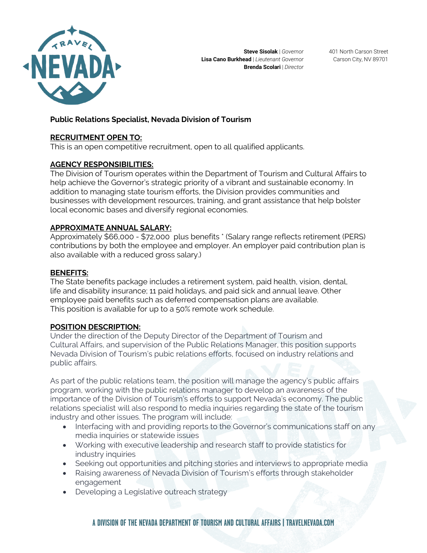

401 North Carson Street Carson City, NV 89701

## **Public Relations Specialist, Nevada Division of Tourism**

### **RECRUITMENT OPEN TO:**

This is an open competitive recruitment, open to all qualified applicants.

#### **AGENCY RESPONSIBILITIES:**

The Division of Tourism operates within the Department of Tourism and Cultural Affairs to help achieve the Governor's strategic priority of a vibrant and sustainable economy. In addition to managing state tourism efforts, the Division provides communities and businesses with development resources, training, and grant assistance that help bolster local economic bases and diversify regional economies.

#### **APPROXIMATE ANNUAL SALARY:**

Approximately \$66,000 - \$72,000 plus benefits \* (Salary range reflects retirement (PERS) contributions by both the employee and employer. An employer paid contribution plan is also available with a reduced gross salary.)

#### **BENEFITS:**

The State benefits package includes a retirement system, paid health, vision, dental, life and disability insurance; 11 paid holidays, and paid sick and annual leave. Other employee paid benefits such as deferred compensation plans are available. This position is available for up to a 50% remote work schedule.

#### **POSITION DESCRIPTION:**

Under the direction of the Deputy Director of the Department of Tourism and Cultural Affairs, and supervision of the Public Relations Manager, this position supports Nevada Division of Tourism's pubic relations efforts, focused on industry relations and public affairs.

As part of the public relations team, the position will manage the agency's public affairs program, working with the public relations manager to develop an awareness of the importance of the Division of Tourism's efforts to support Nevada's economy. The public relations specialist will also respond to media inquiries regarding the state of the tourism industry and other issues. The program will include:

- Interfacing with and providing reports to the Governor's communications staff on any media inquiries or statewide issues
- Working with executive leadership and research staff to provide statistics for industry inquiries
- Seeking out opportunities and pitching stories and interviews to appropriate media
- Raising awareness of Nevada Division of Tourism's efforts through stakeholder engagement
- Developing a Legislative outreach strategy

# **A DIVISION OF THE NEVADA DEPARTMENT OF TOURISM AND CULTURAL AFFAIRS | TRAVELNEVADA.COM**